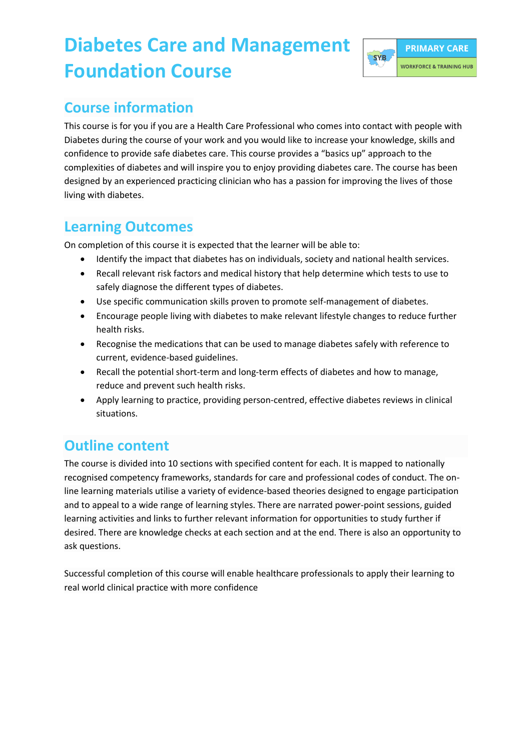## **Diabetes Care and Management Foundation Course**



#### **Course information**

This course is for you if you are a Health Care Professional who comes into contact with people with Diabetes during the course of your work and you would like to increase your knowledge, skills and confidence to provide safe diabetes care. This course provides a "basics up" approach to the complexities of diabetes and will inspire you to enjoy providing diabetes care. The course has been designed by an experienced practicing clinician who has a passion for improving the lives of those living with diabetes.

#### **Learning Outcomes**

On completion of this course it is expected that the learner will be able to:

- Identify the impact that diabetes has on individuals, society and national health services.
- Recall relevant risk factors and medical history that help determine which tests to use to safely diagnose the different types of diabetes.
- Use specific communication skills proven to promote self-management of diabetes.
- Encourage people living with diabetes to make relevant lifestyle changes to reduce further health risks.
- Recognise the medications that can be used to manage diabetes safely with reference to current, evidence-based guidelines.
- Recall the potential short-term and long-term effects of diabetes and how to manage, reduce and prevent such health risks.
- Apply learning to practice, providing person-centred, effective diabetes reviews in clinical situations.

## **Outline content**

The course is divided into 10 sections with specified content for each. It is mapped to nationally recognised competency frameworks, standards for care and professional codes of conduct. The online learning materials utilise a variety of evidence-based theories designed to engage participation and to appeal to a wide range of learning styles. There are narrated power-point sessions, guided learning activities and links to further relevant information for opportunities to study further if desired. There are knowledge checks at each section and at the end. There is also an opportunity to ask questions.

Successful completion of this course will enable healthcare professionals to apply their learning to real world clinical practice with more confidence